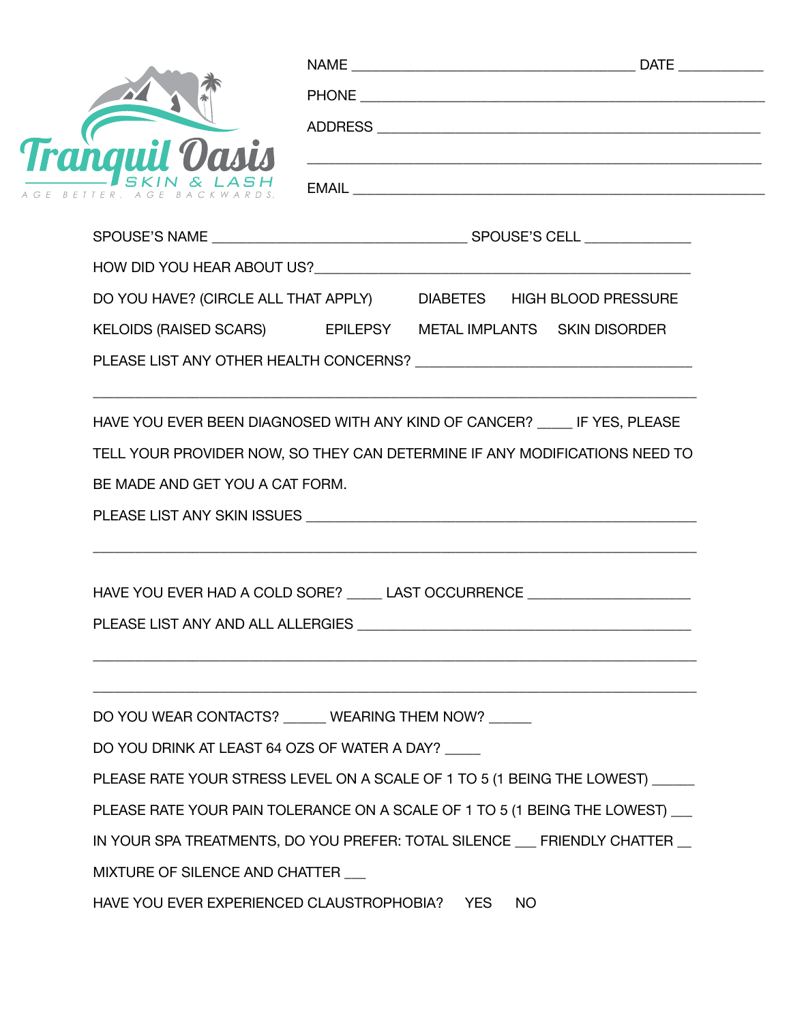| <b>Tranguil Oasis</b>                                                                                                 |  |  |  |  |  |
|-----------------------------------------------------------------------------------------------------------------------|--|--|--|--|--|
|                                                                                                                       |  |  |  |  |  |
|                                                                                                                       |  |  |  |  |  |
| DO YOU HAVE? (CIRCLE ALL THAT APPLY) DIABETES HIGH BLOOD PRESSURE                                                     |  |  |  |  |  |
| KELOIDS (RAISED SCARS) EPILEPSY METAL IMPLANTS SKIN DISORDER                                                          |  |  |  |  |  |
|                                                                                                                       |  |  |  |  |  |
| HAVE YOU EVER BEEN DIAGNOSED WITH ANY KIND OF CANCER? _____ IF YES, PLEASE                                            |  |  |  |  |  |
| TELL YOUR PROVIDER NOW, SO THEY CAN DETERMINE IF ANY MODIFICATIONS NEED TO                                            |  |  |  |  |  |
| BE MADE AND GET YOU A CAT FORM.                                                                                       |  |  |  |  |  |
| PLEASE LIST ANY SKIN ISSUES <b>And All Annual Annual Annual Annual Annual Annual Annual Annual Annual Annual Annu</b> |  |  |  |  |  |
| HAVE YOU EVER HAD A COLD SORE? _____ LAST OCCURRENCE ___________________________                                      |  |  |  |  |  |
|                                                                                                                       |  |  |  |  |  |
|                                                                                                                       |  |  |  |  |  |
| DO YOU WEAR CONTACTS? _____ WEARING THEM NOW? _____                                                                   |  |  |  |  |  |
| DO YOU DRINK AT LEAST 64 OZS OF WATER A DAY?                                                                          |  |  |  |  |  |
| PLEASE RATE YOUR STRESS LEVEL ON A SCALE OF 1 TO 5 (1 BEING THE LOWEST) ______                                        |  |  |  |  |  |
|                                                                                                                       |  |  |  |  |  |
| PLEASE RATE YOUR PAIN TOLERANCE ON A SCALE OF 1 TO 5 (1 BEING THE LOWEST) __                                          |  |  |  |  |  |
| IN YOUR SPA TREATMENTS, DO YOU PREFER: TOTAL SILENCE __ FRIENDLY CHATTER _                                            |  |  |  |  |  |